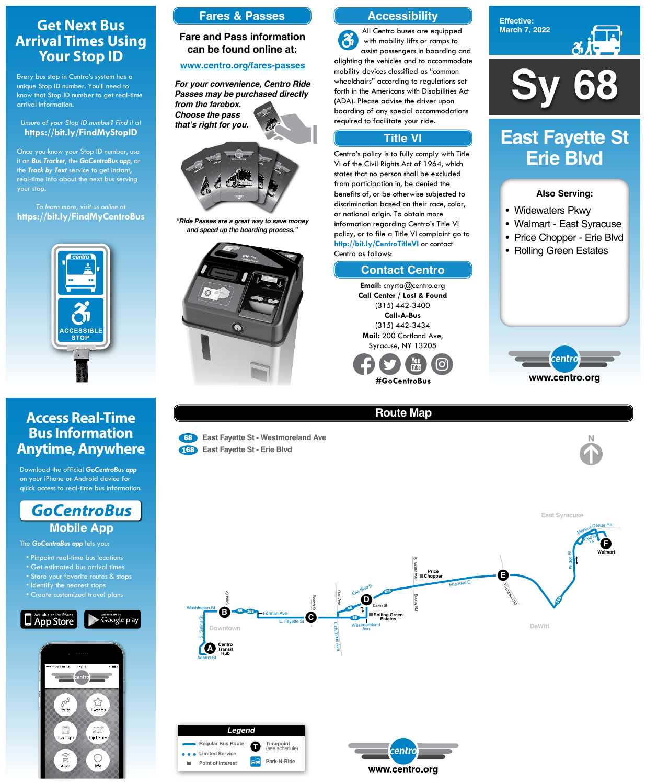**Sy 68**

**Effective: March 7, 2022**



#### **Also Serving:**

- Widewaters Pkwy
- Walmart East Syracuse
- Price Chopper Erie Blvd
- Rolling Green Estates



# **East Fayette St Erie Blvd**

# **Route Map**

 $\overline{a}$ 

<sup>68</sup> **East Fayette St - Westmoreland Ave**

<sup>168</sup> **East Fayette St - Erie Blvd**

Erie Blvd E.

Thomason Rd

S. Midler Ave

S. Midler



Bridge St

 $\mathcal{S}$ 

**E**



**Walmart**

**Price Chopper**

# **Get Next Bus Arrival Times Using Your Stop ID**

Every bus stop in Centro's system has a unique Stop ID number. You'll need to know that Stop ID number to get real-time arrival information.



#### *Unsure of your Stop ID number? Find it at* **https://bit.ly/FindMyStopID**

Once you know your Stop ID number, use it on *Bus Tracker*, the *GoCentroBus app*, or the *Track by Text* service to get instant, real-time info about the next bus serving your stop.

*To learn more, visit us online at* **https://bit.ly/FindMyCentroBus**



# **Access Real-Time Bus Information Anytime, Anywhere**

Download the official *GoCentroBus app* on your iPhone or Android device for quick access to real-time bus information.



The *GoCentroBus app* lets you:

• Pinpoint real-time bus locations

• Get estimated bus arrival times

# **Accessibility**

# **Contact Centro**

## **Title VI**

All Centro buses are equipped  $\mathbf{a}$ with mobility lifts or ramps to assist passengers in boarding and alighting the vehicles and to accommodate mobility devices classified as "common wheelchairs" according to regulations set forth in the Americans with Disabilities Act (ADA). Please advise the driver upon boarding of any special accommodations required to facilitate your ride.

Centro's policy is to fully comply with Title VI of the Civil Rights Act of 1964, which states that no person shall be excluded from participation in, be denied the benefits of, or be otherwise subjected to discrimination based on their race, color, or national origin. To obtain more information regarding Centro's Title VI policy, or to file a Title VI complaint go to **http://bit.ly/CentroTitleVI** or contact Centro as follows:

> **Email:** cnyrta@centro.org **Call Center / Lost & Found** (315) 442-3400 **Call-A-Bus** (315) 442-3434 **Mail:** 200 Cortland Ave, Syracuse, NY 13205



# **Fares & Passes**

### **Fare and Pass information can be found online at:**

#### **www.centro.org/fares-passes**



*"Ride Passes are a great way to save money and speed up the boarding process."*



*For your convenience, Centro Ride Passes may be purchased directly from the farebox. Choose the pass that's right for you.*